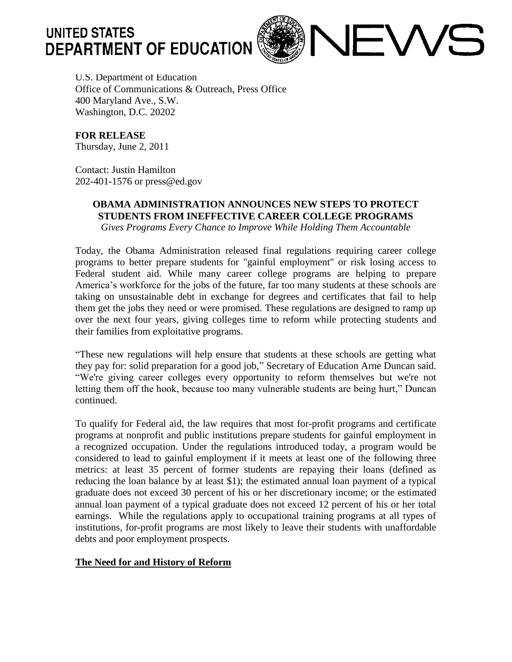

**JEWS** 

U.S. Department of Education Office of Communications & Outreach, Press Office 400 Maryland Ave., S.W. Washington, D.C. 20202

**FOR RELEASE** Thursday, June 2, 2011

Contact: Justin Hamilton 202-401-1576 or press@ed.gov

## **OBAMA ADMINISTRATION ANNOUNCES NEW STEPS TO PROTECT STUDENTS FROM INEFFECTIVE CAREER COLLEGE PROGRAMS**

*Gives Programs Every Chance to Improve While Holding Them Accountable*

Today, the Obama Administration released final regulations requiring career college programs to better prepare students for "gainful employment" or risk losing access to Federal student aid. While many career college programs are helping to prepare America's workforce for the jobs of the future, far too many students at these schools are taking on unsustainable debt in exchange for degrees and certificates that fail to help them get the jobs they need or were promised. These regulations are designed to ramp up over the next four years, giving colleges time to reform while protecting students and their families from exploitative programs.

"These new regulations will help ensure that students at these schools are getting what they pay for: solid preparation for a good job," Secretary of Education Arne Duncan said. "We're giving career colleges every opportunity to reform themselves but we're not letting them off the hook, because too many vulnerable students are being hurt," Duncan continued.

To qualify for Federal aid, the law requires that most for-profit programs and certificate programs at nonprofit and public institutions prepare students for gainful employment in a recognized occupation. Under the regulations introduced today, a program would be considered to lead to gainful employment if it meets at least one of the following three metrics: at least 35 percent of former students are repaying their loans (defined as reducing the loan balance by at least \$1); the estimated annual loan payment of a typical graduate does not exceed 30 percent of his or her discretionary income; or the estimated annual loan payment of a typical graduate does not exceed 12 percent of his or her total earnings. While the regulations apply to occupational training programs at all types of institutions, for-profit programs are most likely to leave their students with unaffordable debts and poor employment prospects.

## **The Need for and History of Reform**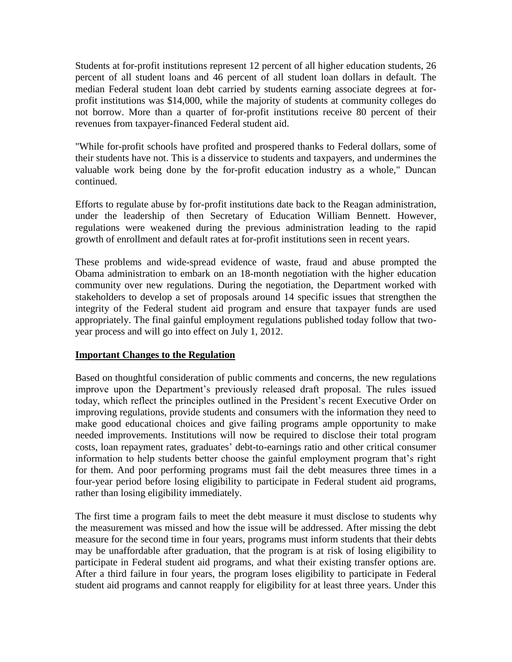Students at for-profit institutions represent 12 percent of all higher education students, 26 percent of all student loans and 46 percent of all student loan dollars in default. The median Federal student loan debt carried by students earning associate degrees at forprofit institutions was \$14,000, while the majority of students at community colleges do not borrow. More than a quarter of for-profit institutions receive 80 percent of their revenues from taxpayer-financed Federal student aid.

"While for-profit schools have profited and prospered thanks to Federal dollars, some of their students have not. This is a disservice to students and taxpayers, and undermines the valuable work being done by the for-profit education industry as a whole," Duncan continued.

Efforts to regulate abuse by for-profit institutions date back to the Reagan administration, under the leadership of then Secretary of Education William Bennett. However, regulations were weakened during the previous administration leading to the rapid growth of enrollment and default rates at for-profit institutions seen in recent years.

These problems and wide-spread evidence of waste, fraud and abuse prompted the Obama administration to embark on an 18-month negotiation with the higher education community over new regulations. During the negotiation, the Department worked with stakeholders to develop a set of proposals around 14 specific issues that strengthen the integrity of the Federal student aid program and ensure that taxpayer funds are used appropriately. The final gainful employment regulations published today follow that twoyear process and will go into effect on July 1, 2012.

## **Important Changes to the Regulation**

Based on thoughtful consideration of public comments and concerns, the new regulations improve upon the Department's previously released draft proposal. The rules issued today, which reflect the principles outlined in the President's recent Executive Order on improving regulations, provide students and consumers with the information they need to make good educational choices and give failing programs ample opportunity to make needed improvements. Institutions will now be required to disclose their total program costs, loan repayment rates, graduates' debt-to-earnings ratio and other critical consumer information to help students better choose the gainful employment program that's right for them. And poor performing programs must fail the debt measures three times in a four-year period before losing eligibility to participate in Federal student aid programs, rather than losing eligibility immediately.

The first time a program fails to meet the debt measure it must disclose to students why the measurement was missed and how the issue will be addressed. After missing the debt measure for the second time in four years, programs must inform students that their debts may be unaffordable after graduation, that the program is at risk of losing eligibility to participate in Federal student aid programs, and what their existing transfer options are. After a third failure in four years, the program loses eligibility to participate in Federal student aid programs and cannot reapply for eligibility for at least three years. Under this